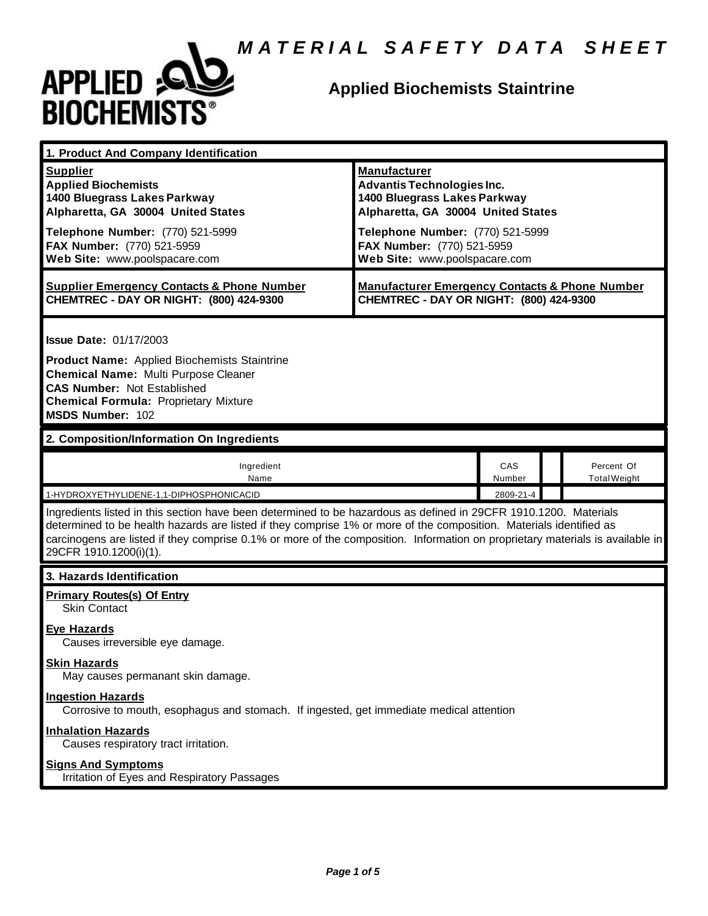

| 1. Product And Company Identification                                                                                                                                                                                                                                                                                                                                                                  |                                                                                                                                                                                                                                   |               |                                   |  |
|--------------------------------------------------------------------------------------------------------------------------------------------------------------------------------------------------------------------------------------------------------------------------------------------------------------------------------------------------------------------------------------------------------|-----------------------------------------------------------------------------------------------------------------------------------------------------------------------------------------------------------------------------------|---------------|-----------------------------------|--|
| <b>Supplier</b><br><b>Applied Biochemists</b><br>1400 Bluegrass Lakes Parkway<br>Alpharetta, GA 30004 United States<br>Telephone Number: (770) 521-5999<br>FAX Number: (770) 521-5959<br>Web Site: www.poolspacare.com                                                                                                                                                                                 | <b>Manufacturer</b><br><b>Advantis Technologies Inc.</b><br>1400 Bluegrass Lakes Parkway<br>Alpharetta, GA 30004 United States<br>Telephone Number: (770) 521-5999<br>FAX Number: (770) 521-5959<br>Web Site: www.poolspacare.com |               |                                   |  |
| <b>Supplier Emergency Contacts &amp; Phone Number</b><br>CHEMTREC - DAY OR NIGHT: (800) 424-9300                                                                                                                                                                                                                                                                                                       | <b>Manufacturer Emergency Contacts &amp; Phone Number</b><br>CHEMTREC - DAY OR NIGHT: (800) 424-9300                                                                                                                              |               |                                   |  |
| <b>Issue Date: 01/17/2003</b><br><b>Product Name:</b> Applied Biochemists Staintrine<br><b>Chemical Name: Multi Purpose Cleaner</b><br><b>CAS Number: Not Established</b><br><b>Chemical Formula: Proprietary Mixture</b><br>MSDS Number: 102                                                                                                                                                          |                                                                                                                                                                                                                                   |               |                                   |  |
| 2. Composition/Information On Ingredients                                                                                                                                                                                                                                                                                                                                                              |                                                                                                                                                                                                                                   |               |                                   |  |
| Ingredient<br>Name                                                                                                                                                                                                                                                                                                                                                                                     |                                                                                                                                                                                                                                   | CAS<br>Number | Percent Of<br><b>Total Weight</b> |  |
| 2809-21-4<br>1-HYDROXYETHYLIDENE-1,1-DIPHOSPHONICACID<br>Ingredients listed in this section have been determined to be hazardous as defined in 29CFR 1910.1200. Materials                                                                                                                                                                                                                              |                                                                                                                                                                                                                                   |               |                                   |  |
| determined to be health hazards are listed if they comprise 1% or more of the composition. Materials identified as<br>carcinogens are listed if they comprise 0.1% or more of the composition. Information on proprietary materials is available in<br>29CFR 1910.1200(i)(1).                                                                                                                          |                                                                                                                                                                                                                                   |               |                                   |  |
| 3. Hazards Identification                                                                                                                                                                                                                                                                                                                                                                              |                                                                                                                                                                                                                                   |               |                                   |  |
| <b>Primary Routes(s) Of Entry</b><br><b>Skin Contact</b><br><b>Eye Hazards</b><br>Causes irreversible eye damage.<br><b>Skin Hazards</b><br>May causes permanant skin damage.<br><b>Ingestion Hazards</b><br>Corrosive to mouth, esophagus and stomach. If ingested, get immediate medical attention<br><b>Inhalation Hazards</b><br>Causes respiratory tract irritation.<br><b>Signs And Symptoms</b> |                                                                                                                                                                                                                                   |               |                                   |  |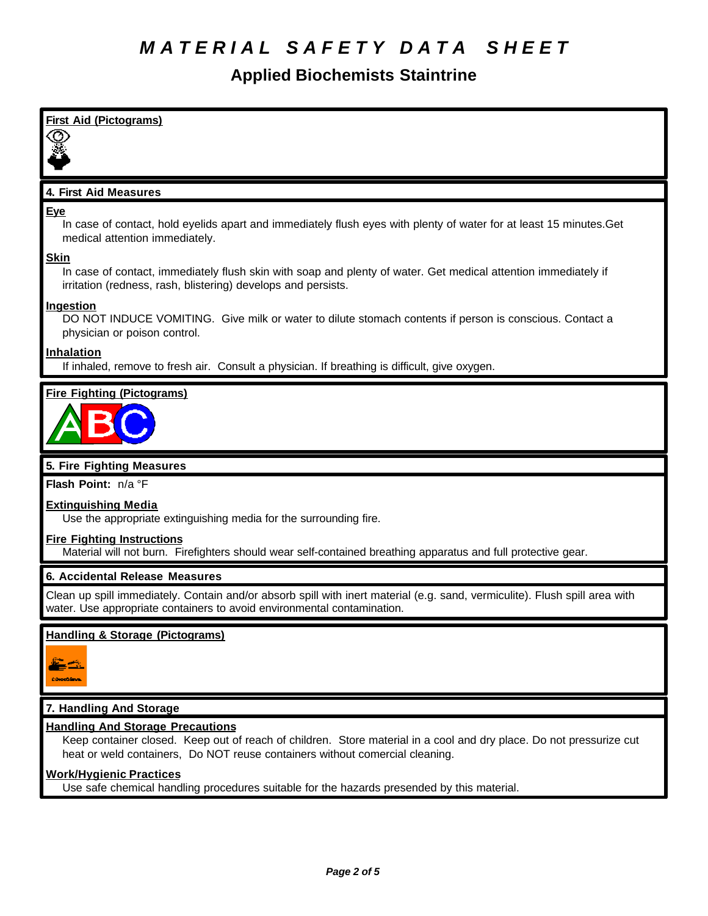| <b>First Aid (Pictograms)</b>                                                                                                                                                                                                                  |
|------------------------------------------------------------------------------------------------------------------------------------------------------------------------------------------------------------------------------------------------|
|                                                                                                                                                                                                                                                |
| 4. First Aid Measures                                                                                                                                                                                                                          |
| <b>Eye</b><br>In case of contact, hold eyelids apart and immediately flush eyes with plenty of water for at least 15 minutes. Get                                                                                                              |
| medical attention immediately.<br><b>Skin</b>                                                                                                                                                                                                  |
| In case of contact, immediately flush skin with soap and plenty of water. Get medical attention immediately if<br>irritation (redness, rash, blistering) develops and persists.                                                                |
| Ingestion<br>DO NOT INDUCE VOMITING. Give milk or water to dilute stomach contents if person is conscious. Contact a<br>physician or poison control.                                                                                           |
| <b>Inhalation</b><br>If inhaled, remove to fresh air. Consult a physician. If breathing is difficult, give oxygen.                                                                                                                             |
| <b>Fire Fighting (Pictograms)</b>                                                                                                                                                                                                              |
|                                                                                                                                                                                                                                                |
| 5. Fire Fighting Measures                                                                                                                                                                                                                      |
| Flash Point: n/a °F                                                                                                                                                                                                                            |
| <b>Extinguishing Media</b><br>Use the appropriate extinguishing media for the surrounding fire.                                                                                                                                                |
| <b>Fire Fighting Instructions</b><br>Material will not burn. Firefighters should wear self-contained breathing apparatus and full protective gear.                                                                                             |
| 6. Accidental Release Measures                                                                                                                                                                                                                 |
| Clean up spill immediately. Contain and/or absorb spill with inert material (e.g. sand, vermiculite). Flush spill area with<br>water. Use appropriate containers to avoid environmental contamination.                                         |
| Handling & Storage (Pictograms)                                                                                                                                                                                                                |
|                                                                                                                                                                                                                                                |
| 7. Handling And Storage                                                                                                                                                                                                                        |
| <b>Handling And Storage Precautions</b><br>Keep container closed. Keep out of reach of children. Store material in a cool and dry place. Do not pressurize cut<br>heat or weld containers, Do NOT reuse containers without comercial cleaning. |
| <b>Work/Hygienic Practices</b><br>Use safe chemical handling procedures suitable for the hazards presended by this material.                                                                                                                   |
|                                                                                                                                                                                                                                                |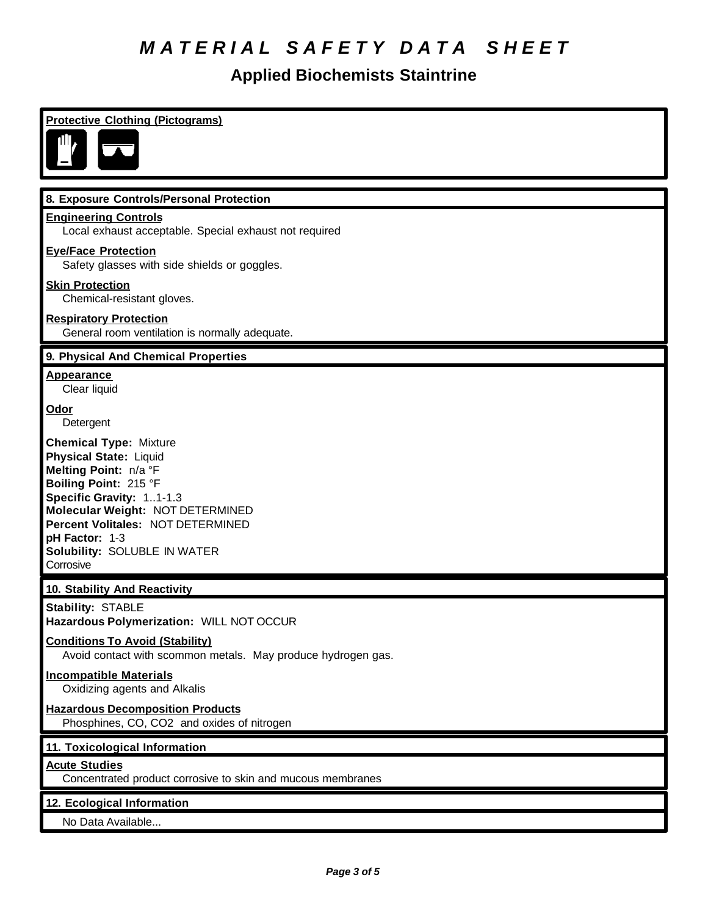| <b>Protective Clothing (Pictograms)</b>                                                                                                                                                                                                                                              |
|--------------------------------------------------------------------------------------------------------------------------------------------------------------------------------------------------------------------------------------------------------------------------------------|
| Ш,                                                                                                                                                                                                                                                                                   |
| 8. Exposure Controls/Personal Protection                                                                                                                                                                                                                                             |
| <b>Engineering Controls</b><br>Local exhaust acceptable. Special exhaust not required                                                                                                                                                                                                |
| <b>Eye/Face Protection</b><br>Safety glasses with side shields or goggles.                                                                                                                                                                                                           |
| <b>Skin Protection</b><br>Chemical-resistant gloves.                                                                                                                                                                                                                                 |
| <b>Respiratory Protection</b><br>General room ventilation is normally adequate.                                                                                                                                                                                                      |
| 9. Physical And Chemical Properties                                                                                                                                                                                                                                                  |
| <b>Appearance</b><br>Clear liquid                                                                                                                                                                                                                                                    |
| Odor<br>Detergent                                                                                                                                                                                                                                                                    |
| <b>Chemical Type: Mixture</b><br><b>Physical State: Liquid</b><br>Melting Point: n/a °F<br>Boiling Point: 215 °F<br>Specific Gravity: 11-1.3<br>Molecular Weight: NOT DETERMINED<br>Percent Volitales: NOT DETERMINED<br>pH Factor: 1-3<br>Solubility: SOLUBLE IN WATER<br>Corrosive |
| 10. Stability And Reactivity                                                                                                                                                                                                                                                         |
| <b>Stability: STABLE</b><br>Hazardous Polymerization: WILL NOT OCCUR                                                                                                                                                                                                                 |
| <b>Conditions To Avoid (Stability)</b><br>Avoid contact with scommon metals. May produce hydrogen gas.                                                                                                                                                                               |
| <b>Incompatible Materials</b><br>Oxidizing agents and Alkalis                                                                                                                                                                                                                        |
| <b>Hazardous Decomposition Products</b><br>Phosphines, CO, CO2 and oxides of nitrogen                                                                                                                                                                                                |
| 11. Toxicological Information                                                                                                                                                                                                                                                        |
| <b>Acute Studies</b><br>Concentrated product corrosive to skin and mucous membranes                                                                                                                                                                                                  |
| 12. Ecological Information                                                                                                                                                                                                                                                           |
| No Data Available                                                                                                                                                                                                                                                                    |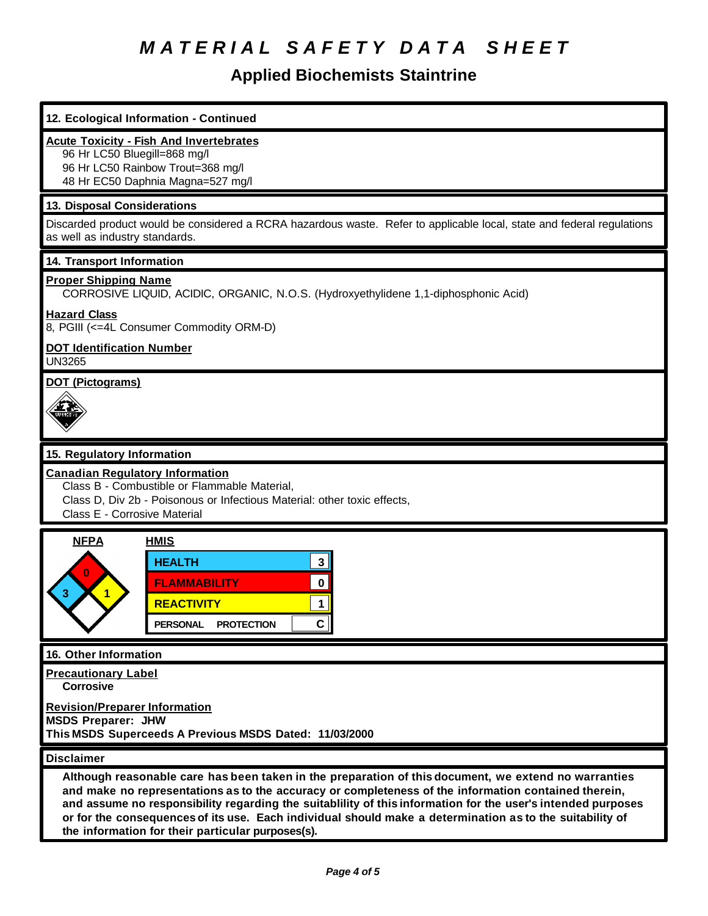| 12. Ecological Information - Continued                                                                                                                                                                                                                                                                                                                                                                                                                                                        |  |  |
|-----------------------------------------------------------------------------------------------------------------------------------------------------------------------------------------------------------------------------------------------------------------------------------------------------------------------------------------------------------------------------------------------------------------------------------------------------------------------------------------------|--|--|
| <b>Acute Toxicity - Fish And Invertebrates</b><br>96 Hr LC50 Bluegill=868 mg/l<br>96 Hr LC50 Rainbow Trout=368 mg/l<br>48 Hr EC50 Daphnia Magna=527 mg/l                                                                                                                                                                                                                                                                                                                                      |  |  |
| 13. Disposal Considerations                                                                                                                                                                                                                                                                                                                                                                                                                                                                   |  |  |
| Discarded product would be considered a RCRA hazardous waste. Refer to applicable local, state and federal regulations<br>as well as industry standards.                                                                                                                                                                                                                                                                                                                                      |  |  |
| 14. Transport Information                                                                                                                                                                                                                                                                                                                                                                                                                                                                     |  |  |
| <b>Proper Shipping Name</b><br>CORROSIVE LIQUID, ACIDIC, ORGANIC, N.O.S. (Hydroxyethylidene 1,1-diphosphonic Acid)                                                                                                                                                                                                                                                                                                                                                                            |  |  |
| <b>Hazard Class</b><br>8, PGIII (<=4L Consumer Commodity ORM-D)                                                                                                                                                                                                                                                                                                                                                                                                                               |  |  |
| <b>DOT Identification Number</b><br><b>UN3265</b>                                                                                                                                                                                                                                                                                                                                                                                                                                             |  |  |
| <b>DOT (Pictograms)</b>                                                                                                                                                                                                                                                                                                                                                                                                                                                                       |  |  |
| 15. Regulatory Information                                                                                                                                                                                                                                                                                                                                                                                                                                                                    |  |  |
| <b>Canadian Regulatory Information</b><br>Class B - Combustible or Flammable Material,<br>Class D, Div 2b - Poisonous or Infectious Material: other toxic effects,<br>Class E - Corrosive Material                                                                                                                                                                                                                                                                                            |  |  |
| <b>NFPA</b><br><b>HMIS</b><br>$\mathbf{3}$<br><b>HEALTH</b><br>$\mathbf 0$<br><b>FLAMMABILITY</b><br><b>REACTIVITY</b><br>1<br>$\mathbf{C}$<br><b>PERSONAL</b><br><b>PROTECTION</b>                                                                                                                                                                                                                                                                                                           |  |  |
| 16. Other Information                                                                                                                                                                                                                                                                                                                                                                                                                                                                         |  |  |
| <b>Precautionary Label</b><br><b>Corrosive</b>                                                                                                                                                                                                                                                                                                                                                                                                                                                |  |  |
| <b>Revision/Preparer Information</b><br><b>MSDS Preparer: JHW</b><br>This MSDS Superceeds A Previous MSDS Dated: 11/03/2000                                                                                                                                                                                                                                                                                                                                                                   |  |  |
| <b>Disclaimer</b>                                                                                                                                                                                                                                                                                                                                                                                                                                                                             |  |  |
| Although reasonable care has been taken in the preparation of this document, we extend no warranties<br>and make no representations as to the accuracy or completeness of the information contained therein,<br>and assume no responsibility regarding the suitablility of this information for the user's intended purposes<br>or for the consequences of its use. Each individual should make a determination as to the suitability of<br>the information for their particular purposes(s). |  |  |